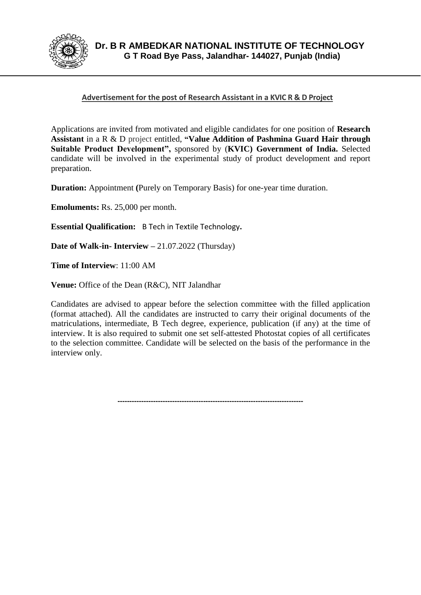

## **Advertisement for the post of Research Assistant in a KVIC R & D Project**

Applications are invited from motivated and eligible candidates for one position of **Research Assistant** in a R & D project entitled, **"Value Addition of Pashmina Guard Hair through Suitable Product Development",** sponsored by (**KVIC) Government of India.** Selected candidate will be involved in the experimental study of product development and report preparation.

**Duration:** Appointment **(**Purely on Temporary Basis) for one-year time duration.

**Emoluments:** Rs. 25,000 per month.

**Essential Qualification:** B Tech in Textile Technology**.**

**Date of Walk-in- Interview –** 21.07.2022 (Thursday)

**Time of Interview**: 11:00 AM

**Venue:** Office of the Dean (R&C), NIT Jalandhar

Candidates are advised to appear before the selection committee with the filled application (format attached). All the candidates are instructed to carry their original documents of the matriculations, intermediate, B Tech degree, experience, publication (if any) at the time of interview. It is also required to submit one set self-attested Photostat copies of all certificates to the selection committee. Candidate will be selected on the basis of the performance in the interview only.

**------------------------------------------------------------------------------**